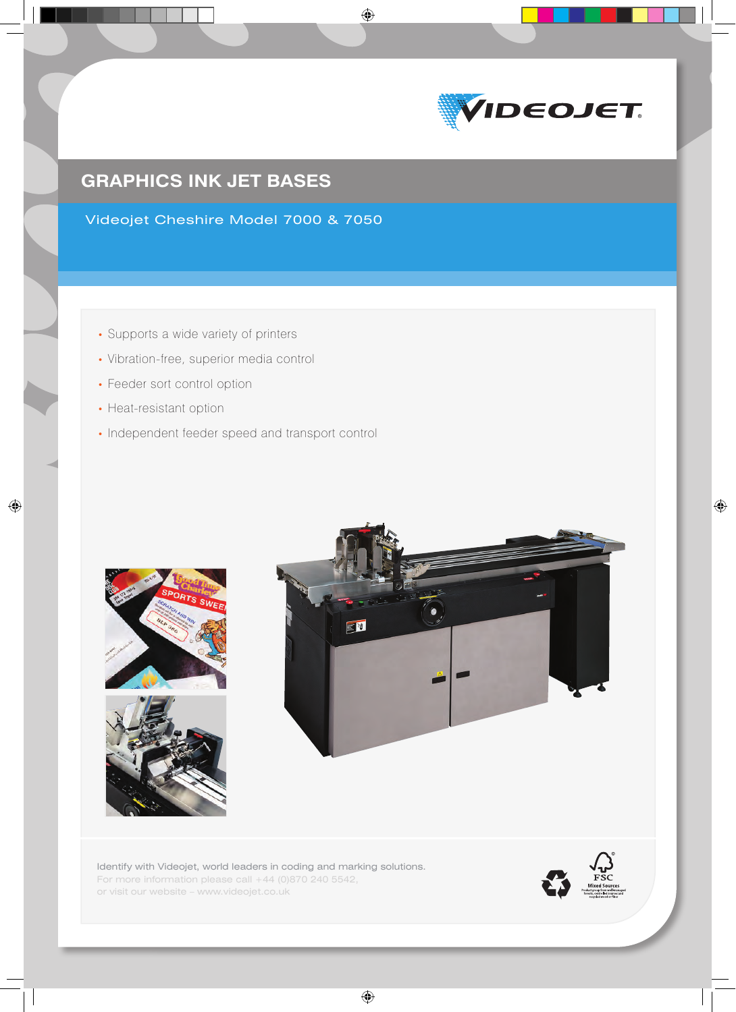

# **GRAPHICS INK JET BASES**

Videojet Cheshire Model 7000 & 7050

 $\bigoplus$ 

- Supports a wide variety of printers
- Vibration-free, superior media control
- Feeder sort control option
- Heat-resistant option

 $\bigoplus$ 

• Independent feeder speed and transport control





Identify with Videojet, world leaders in coding and marking solutions. For more information please call +44 (0)870 240 5542, or visit our website – www.videojet.co.uk

 $\bigoplus$ 

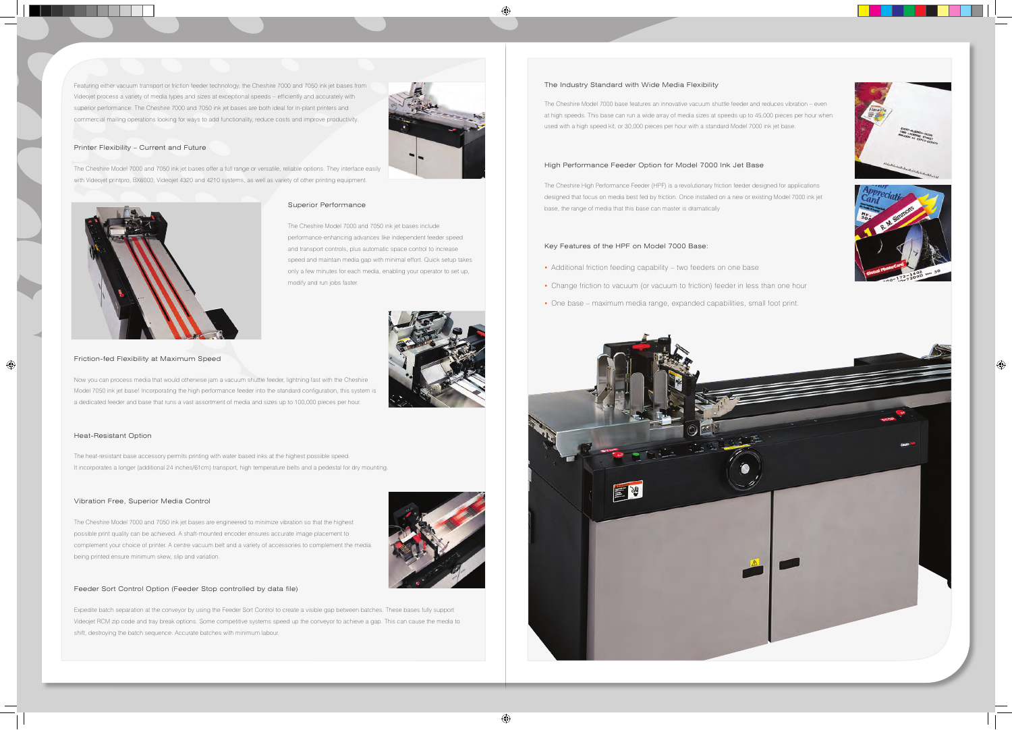#### Friction-fed Flexibility at Maximum Speed

Now you can process media that would otherwise jam a vacuum shuttle feeder, lightning fast with the Cheshire Model 7050 ink jet base! Incorporating the high performance feeder into the standard configuration, this system i a dedicated feeder and base that runs a vast assortment of media and sizes up to 100,000 pieces per hour.

## Superior Performance

The Cheshire Model 7000 and 7050 ink jet bases include performance-enhancing advances like independent feeder speed and transport controls, plus automatic space control to increase speed and maintain media gap with minimal effort. Quick setup takes only a few minutes for each media, enabling your operator to set up, modify and run jobs faster.



⊕

#### The Industry Standard with Wide Media Flexibility

The Cheshire Model 7000 base features an innovative vacuum shuttle feeder and reduces vibration – even at high speeds. This base can run a wide array of media sizes at speeds up to 45,000 pieces per hour when used with a high speed kit, or 30,000 pieces per hour with a standard Model 7000 ink jet base.

## Key Features of the HPF on Model 7000 Base:

- Additional friction feeding capability two feeders on one base
- Change friction to vacuum (or vacuum to friction) feeder in less than one hour
- One base maximum media range, expanded capabilities, small foot print.







#### High Performance Feeder Option for Model 7000 Ink Jet Base

The Cheshire High Performance Feeder (HPF) is a revolutionary friction feeder designed for applications designed that focus on media best fed by friction. Once installed on a new or existing Model 7000 ink jet base, the range of media that this base can master is dramatically

#### Heat-Resistant Option

 $\bigoplus$ 

The heat-resistant base accessory permits printing with water based inks at the highest possible speed. It incorporates a longer (additional 24 inches/61cm) transport, high temperature belts and a pedestal for dry mounting.

### Vibration Free, Superior Media Control

The Cheshire Model 7000 and 7050 ink jet bases are engineered to minimize vibration so that the highest possible print quality can be achieved. A shaft-mounted encoder ensures accurate image placement to complement your choice of printer. A centre vacuum belt and a variety of accessories to complement the media being printed ensure minimum skew, slip and variation.

#### Feeder Sort Control Option (Feeder Stop controlled by data file)

Expedite batch separation at the conveyor by using the Feeder Sort Control to create a visible gap between batches. These bases fully support Videojet RCM zip code and tray break options. Some competitive systems speed up the conveyor to achieve a gap. This can cause the media to shift, destroying the batch sequence. Accurate batches with minimum labour.

 $\bigoplus$ 

## Printer Flexibility – Current and Future

The Cheshire Model 7000 and 7050 ink jet bases offer a full range or versatile, reliable options. They interface easily with Videojet printpro, BX6000, Videojet 4320 and 4210 systems, as well as variety of other printing equipment.



Featuring either vacuum transport or friction feeder technology, the Cheshire 7000 and 7050 ink jet bases from Videojet process a variety of media types and sizes at exceptional speeds – efficiently and accurately with superior performance. The Cheshire 7000 and 7050 ink jet bases are both ideal for in-plant printers and commercial mailing operations looking for ways to add functionality, reduce costs and improve productivity.